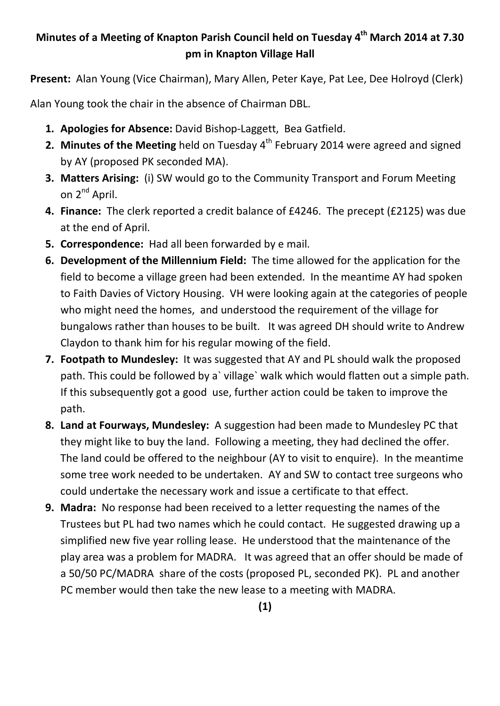## **Minutes of a Meeting of Knapton Parish Council held on Tuesday 4th March 2014 at 7.30 pm in Knapton Village Hall**

**Present:** Alan Young (Vice Chairman), Mary Allen, Peter Kaye, Pat Lee, Dee Holroyd (Clerk)

Alan Young took the chair in the absence of Chairman DBL.

- **1. Apologies for Absence:** David Bishop-Laggett, Bea Gatfield.
- **2. Minutes of the Meeting** held on Tuesday 4<sup>th</sup> February 2014 were agreed and signed by AY (proposed PK seconded MA).
- **3. Matters Arising:** (i) SW would go to the Community Transport and Forum Meeting on 2<sup>nd</sup> April.
- **4. Finance:** The clerk reported a credit balance of £4246. The precept (£2125) was due at the end of April.
- **5. Correspondence:** Had all been forwarded by e mail.
- **6. Development of the Millennium Field:** The time allowed for the application for the field to become a village green had been extended. In the meantime AY had spoken to Faith Davies of Victory Housing. VH were looking again at the categories of people who might need the homes, and understood the requirement of the village for bungalows rather than houses to be built. It was agreed DH should write to Andrew Claydon to thank him for his regular mowing of the field.
- **7. Footpath to Mundesley:** It was suggested that AY and PL should walk the proposed path. This could be followed by a` village` walk which would flatten out a simple path. If this subsequently got a good use, further action could be taken to improve the path.
- **8. Land at Fourways, Mundesley:** A suggestion had been made to Mundesley PC that they might like to buy the land. Following a meeting, they had declined the offer. The land could be offered to the neighbour (AY to visit to enquire). In the meantime some tree work needed to be undertaken. AY and SW to contact tree surgeons who could undertake the necessary work and issue a certificate to that effect.
- **9. Madra:** No response had been received to a letter requesting the names of the Trustees but PL had two names which he could contact. He suggested drawing up a simplified new five year rolling lease. He understood that the maintenance of the play area was a problem for MADRA. It was agreed that an offer should be made of a 50/50 PC/MADRA share of the costs (proposed PL, seconded PK). PL and another PC member would then take the new lease to a meeting with MADRA.